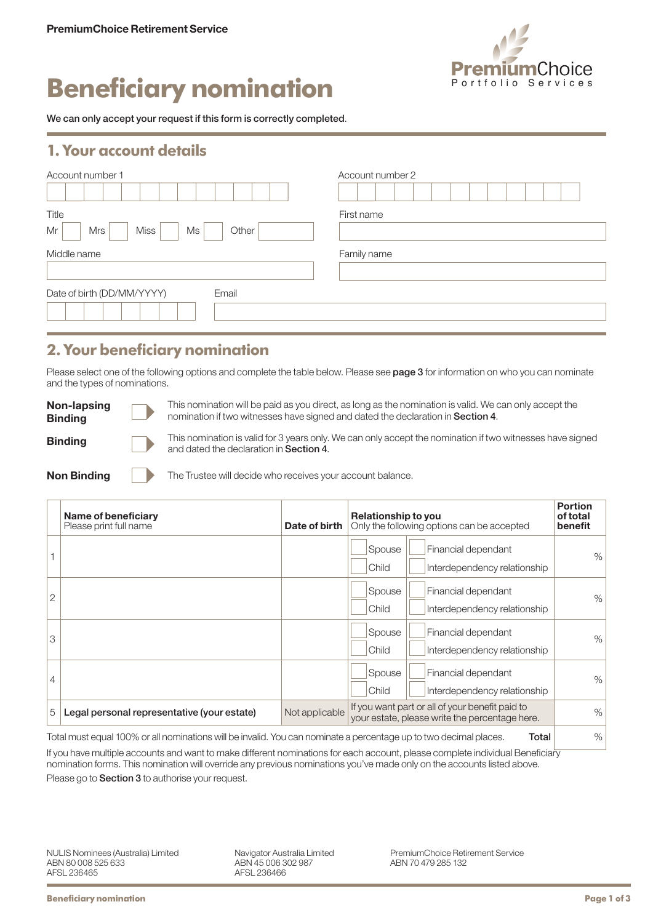

# **Beneficiary nomination**

We can only accept your request if this form is correctly completed.

### **1. Your account details**

| Account number 1                                        | Account number 2 |
|---------------------------------------------------------|------------------|
| Title<br>Mr<br><b>Miss</b><br><b>Mrs</b><br>Ms<br>Other | First name       |
| Middle name                                             | Family name      |
| Date of birth (DD/MM/YYYY)<br>Email                     |                  |

# **2. Your beneficiary nomination**

Please select one of the following options and complete the table below. Please see page 3 for information on who you can nominate and the types of nominations.

| Non-lapsing<br><b>Binding</b> | This nomination will be paid as you direct, as long as the nomination is valid. We can only accept the<br>nomination if two witnesses have signed and dated the declaration in Section 4. |
|-------------------------------|-------------------------------------------------------------------------------------------------------------------------------------------------------------------------------------------|
| <b>Binding</b>                | This nomination is valid for 3 years only. We can only accept the nomination if two witnesses have signed<br>and dated the declaration in Section 4.                                      |
|                               |                                                                                                                                                                                           |

| <b>Non Binding</b> |  |
|--------------------|--|
|                    |  |

 $\blacksquare$  The Trustee will decide who receives your account balance.

|                | Name of beneficiary<br>Please print full name                                                                     | Date of birth  | <b>Relationship to you</b><br>Only the following options can be accepted                          | <b>Portion</b><br>of total<br>benefit |
|----------------|-------------------------------------------------------------------------------------------------------------------|----------------|---------------------------------------------------------------------------------------------------|---------------------------------------|
|                |                                                                                                                   |                | Financial dependant<br>Spouse<br>Interdependency relationship<br>Child                            | %                                     |
| $\overline{2}$ |                                                                                                                   |                | Spouse<br>Financial dependant<br>Interdependency relationship<br>Child                            | %                                     |
| 3              |                                                                                                                   |                | Spouse<br>Financial dependant<br>Child<br>Interdependency relationship                            | %                                     |
| 4              |                                                                                                                   |                | Spouse<br>Financial dependant<br>Child<br>Interdependency relationship                            | %                                     |
| 5              | Legal personal representative (your estate)                                                                       | Not applicable | If you want part or all of your benefit paid to<br>your estate, please write the percentage here. | $\%$                                  |
|                | Total must equal 100% or all nominations will be invalid. You can nominate a percentage up to two decimal places. |                | Total                                                                                             | $\%$                                  |

If you have multiple accounts and want to make different nominations for each account, please complete individual Beneficiary nomination forms. This nomination will override any previous nominations you've made only on the accounts listed above. Please go to **Section 3** to authorise your request.

Navigator Australia Limited ABN 45 006 302 987 AFSL 236466

PremiumChoice Retirement Service ABN 70 479 285 132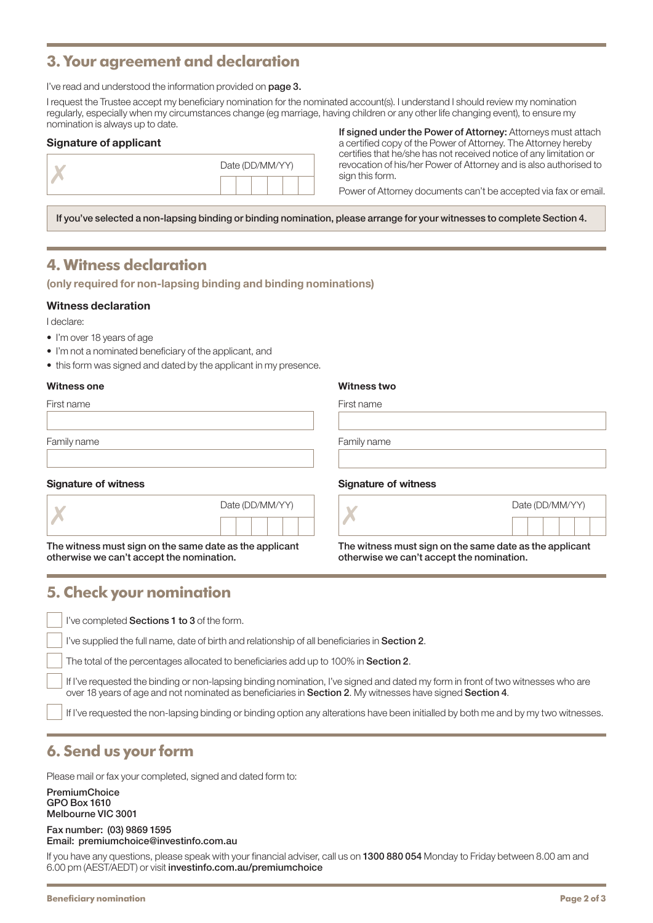# **3. Your agreement and declaration**

I've read and understood the information provided on page 3.

I request the Trustee accept my beneficiary nomination for the nominated account(s). I understand I should review my nomination regularly, especially when my circumstances change (eg marriage, having children or any other life changing event), to ensure my nomination is always up to date.

### Signature of applicant

| Date (DD/MM/YY) |  |  |  |  |  |
|-----------------|--|--|--|--|--|
|                 |  |  |  |  |  |

If signed under the Power of Attorney: Attorneys must attach a certified copy of the Power of Attorney. The Attorney hereby certifies that he/she has not received notice of any limitation or revocation of his/her Power of Attorney and is also authorised to sign this form.

Power of Attorney documents can't be accepted via fax or email.

If you've selected a non-lapsing binding or binding nomination, please arrange for your witnesses to complete Section 4.

# **4. Witness declaration**

(only required for non-lapsing binding and binding nominations)

### Witness declaration

I declare:

- I'm over 18 years of age
- I'm not a nominated beneficiary of the applicant, and
- this form was signed and dated by the applicant in my presence.

#### Witness one Witness two

| First name                  | First name                  |
|-----------------------------|-----------------------------|
| Family name                 | Family name                 |
| <b>Signature of witness</b> | <b>Signature of witness</b> |

| Date (DD/MM/YY) |  |  |  |  |  |
|-----------------|--|--|--|--|--|
|                 |  |  |  |  |  |

otherwise we can't accept the nomination.

The witness must sign on the same date as the applicant<br>
otherwise we can't accept the nomination.<br>
otherwise we can't accept the nomination.

## **5. Check your nomination**

I've completed Sections 1 to 3 of the form.

I've supplied the full name, date of birth and relationship of all beneficiaries in Section 2.

Date (DD/MM/YY)

The total of the percentages allocated to beneficiaries add up to 100% in Section 2.

 If I've requested the binding or non-lapsing binding nomination, I've signed and dated my form in front of two witnesses who are over 18 years of age and not nominated as beneficiaries in Section 2. My witnesses have signed Section 4.

If I've requested the non-lapsing binding or binding option any alterations have been initialled by both me and by my two witnesses.

# **6. Send us your form**

Please mail or fax your completed, signed and dated form to:

#### **PremiumChoice** GPO Box 1610 Melbourne VIC 3001

#### Fax number: (03) 9869 1595 Email: premiumchoice@investinfo.com.au

If you have any questions, please speak with your financial adviser, call us on 1300 880 054 Monday to Friday between 8.00 am and 6.00 pm (AEST/AEDT) or visit investinfo.com.au/premiumchoice